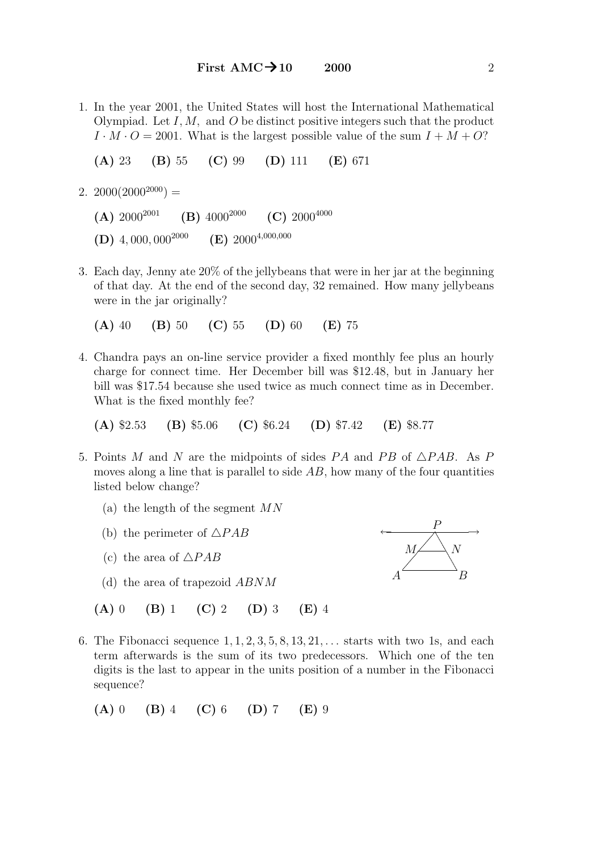1. In the year 2001, the United States will host the International Mathematical Olympiad. Let I, M, and O be distinct positive integers such that the product  $I \cdot M \cdot O = 2001$ . What is the largest possible value of the sum  $I + M + O$ ?

(A) 23 (B) 55 (C) 99 (D) 111 (E) 671

2.  $2000(2000^{2000}) =$ 

- (A)  $2000^{2001}$  (B)  $4000^{2000}$  (C)  $2000^{4000}$ (D) 4, 000, 000<sup>2000</sup> (E) 2000<sup>4,000,000</sup>
- 3. Each day, Jenny ate 20% of the jellybeans that were in her jar at the beginning of that day. At the end of the second day, 32 remained. How many jellybeans were in the jar originally?

$$
(A) 40 (B) 50 (C) 55 (D) 60 (E) 75
$$

4. Chandra pays an on-line service provider a fixed monthly fee plus an hourly charge for connect time. Her December bill was \$12.48, but in January her bill was \$17.54 because she used twice as much connect time as in December. What is the fixed monthly fee?

(A)  $\$2.53$  (B)  $\$5.06$  (C)  $\$6.24$  (D)  $\$7.42$  (E)  $\$8.77$ 

- 5. Points M and N are the midpoints of sides PA and PB of  $\triangle PAB$ . As P moves along a line that is parallel to side  $AB$ , how many of the four quantities listed below change?
	- (a) the length of the segment  $MN$
	- (b) the perimeter of  $\triangle PAB$
	- (c) the area of  $\triangle PAB$
	- (d) the area of trapezoid ABNM
	- (A) 0 (B) 1 (C) 2 (D) 3 (E) 4
- 6. The Fibonacci sequence  $1, 1, 2, 3, 5, 8, 13, 21, \ldots$  starts with two 1s, and each term afterwards is the sum of its two predecessors. Which one of the ten digits is the last to appear in the units position of a number in the Fibonacci sequence?

$$
(A) 0 (B) 4 (C) 6 (D) 7 (E) 9
$$

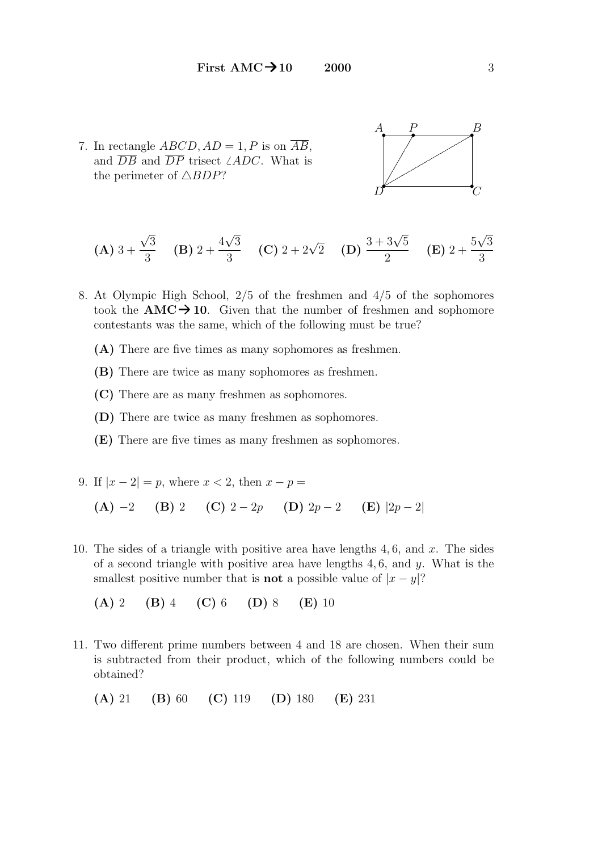7. In rectangle  $ABCD$ ,  $AD = 1$ , P is on  $\overline{AB}$ , and  $\overline{DB}$  and  $\overline{DP}$  trisect  $\angle ADC$ . What is the perimeter of  $\triangle BDP?$ 



**(A)** 
$$
3 + \frac{\sqrt{3}}{3}
$$
 **(B)**  $2 + \frac{4\sqrt{3}}{3}$  **(C)**  $2 + 2\sqrt{2}$  **(D)**  $\frac{3 + 3\sqrt{5}}{2}$  **(E)**  $2 + \frac{5\sqrt{3}}{3}$ 

- 8. At Olympic High School, 2/5 of the freshmen and 4/5 of the sophomores took the  $AMC \rightarrow 10$ . Given that the number of freshmen and sophomore contestants was the same, which of the following must be true?
	- (A) There are five times as many sophomores as freshmen.
	- (B) There are twice as many sophomores as freshmen.
	- (C) There are as many freshmen as sophomores.
	- (D) There are twice as many freshmen as sophomores.
	- (E) There are five times as many freshmen as sophomores.
- 9. If  $|x-2|=p$ , where  $x < 2$ , then  $x p =$ (A) −2 (B) 2 (C)  $2-2p$  (D)  $2p-2$  (E)  $|2p-2|$
- 10. The sides of a triangle with positive area have lengths 4, 6, and  $x$ . The sides of a second triangle with positive area have lengths  $4, 6$ , and  $y$ . What is the smallest positive number that is **not** a possible value of  $|x - y|$ ?

(A) 2 (B) 4 (C) 6 (D) 8 (E) 10

11. Two different prime numbers between 4 and 18 are chosen. When their sum is subtracted from their product, which of the following numbers could be obtained?

(A) 21 (B) 60 (C) 119 (D) 180 (E) 231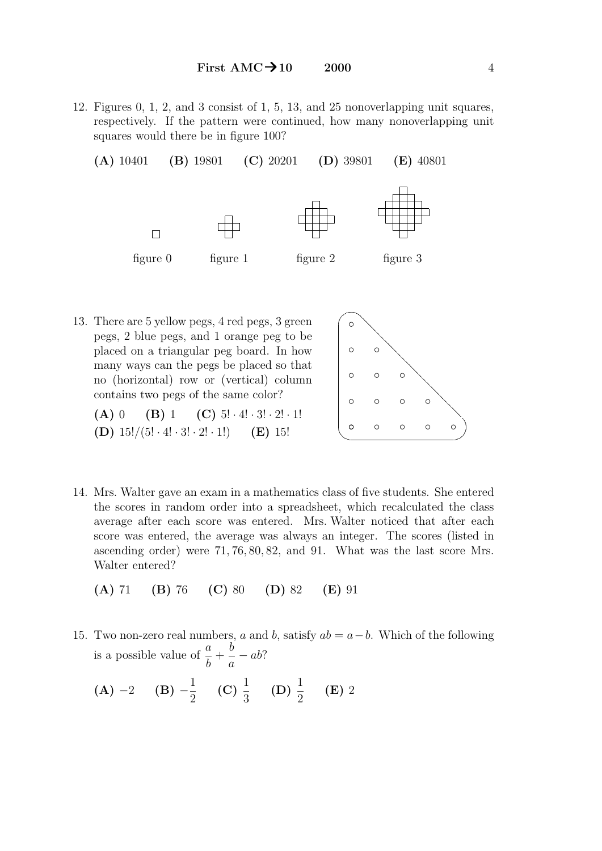12. Figures 0, 1, 2, and 3 consist of 1, 5, 13, and 25 nonoverlapping unit squares, respectively. If the pattern were continued, how many nonoverlapping unit squares would there be in figure 100?



13. There are 5 yellow pegs, 4 red pegs, 3 green pegs, 2 blue pegs, and 1 orange peg to be placed on a triangular peg board. In how many ways can the pegs be placed so that no (horizontal) row or (vertical) column contains two pegs of the same color?



- (A) 0 (B) 1 (C)  $5! \cdot 4! \cdot 3! \cdot 2! \cdot 1!$ (D)  $15!/(5! \cdot 4! \cdot 3! \cdot 2! \cdot 1!)$  (E) 15!
- 14. Mrs. Walter gave an exam in a mathematics class of five students. She entered the scores in random order into a spreadsheet, which recalculated the class average after each score was entered. Mrs. Walter noticed that after each score was entered, the average was always an integer. The scores (listed in ascending order) were 71, 76, 80, 82, and 91. What was the last score Mrs. Walter entered?

(A) 71 (B) 76 (C) 80 (D) 82 (E) 91

15. Two non-zero real numbers, a and b, satisfy  $ab = a - b$ . Which of the following is a possible value of  $\frac{a}{b}$ b  $+$ b a  $-\,ab?$ 

(A) -2 (B) 
$$
-\frac{1}{2}
$$
 (C)  $\frac{1}{3}$  (D)  $\frac{1}{2}$  (E) 2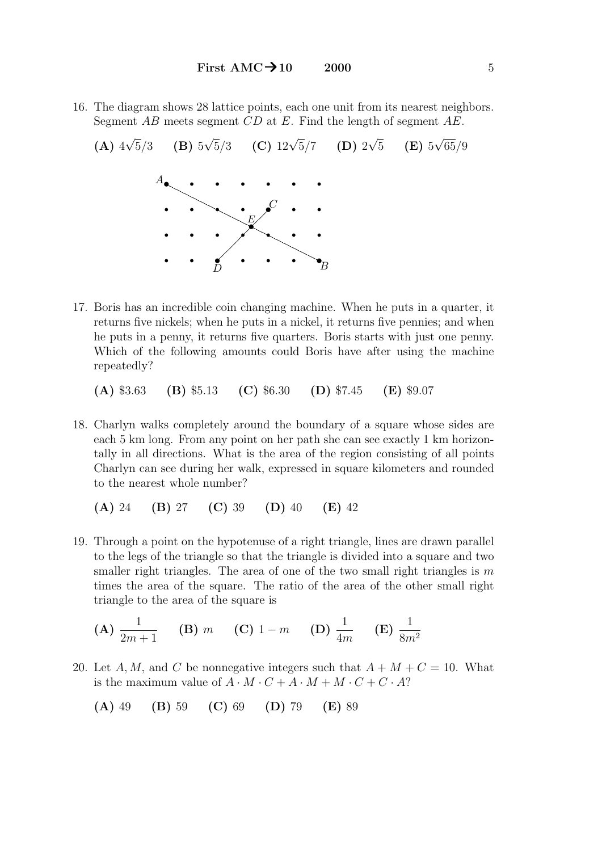16. The diagram shows 28 lattice points, each one unit from its nearest neighbors. Segment  $AB$  meets segment  $CD$  at  $E$ . Find the length of segment  $AE$ .



17. Boris has an incredible coin changing machine. When he puts in a quarter, it returns five nickels; when he puts in a nickel, it returns five pennies; and when he puts in a penny, it returns five quarters. Boris starts with just one penny. Which of the following amounts could Boris have after using the machine repeatedly?

(A) \$3.63 (B) \$5.13 (C) \$6.30 (D) \$7.45 (E) \$9.07

18. Charlyn walks completely around the boundary of a square whose sides are each 5 km long. From any point on her path she can see exactly 1 km horizontally in all directions. What is the area of the region consisting of all points Charlyn can see during her walk, expressed in square kilometers and rounded to the nearest whole number?

$$
(A) 24 (B) 27 (C) 39 (D) 40 (E) 42
$$

19. Through a point on the hypotenuse of a right triangle, lines are drawn parallel to the legs of the triangle so that the triangle is divided into a square and two smaller right triangles. The area of one of the two small right triangles is  $m$ times the area of the square. The ratio of the area of the other small right triangle to the area of the square is

(A) 
$$
\frac{1}{2m+1}
$$
 (B)  $m$  (C)  $1-m$  (D)  $\frac{1}{4m}$  (E)  $\frac{1}{8m^2}$ 

20. Let A, M, and C be nonnegative integers such that  $A + M + C = 10$ . What is the maximum value of  $A \cdot M \cdot C + A \cdot M + M \cdot C + C \cdot A$ ?

$$
(A) 49 (B) 59 (C) 69 (D) 79 (E) 89
$$